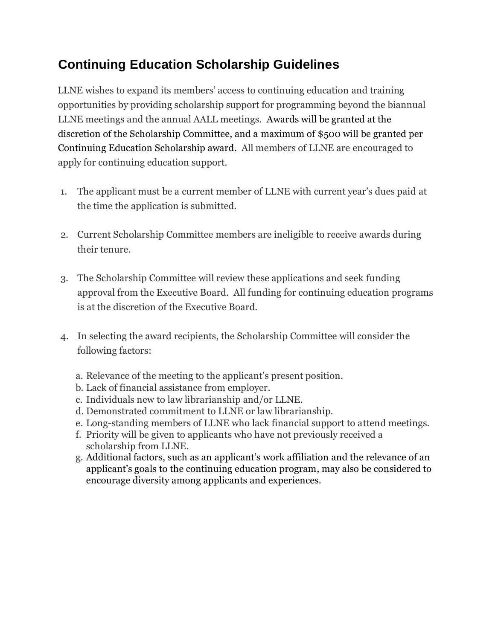## **Continuing Education Scholarship Guidelines**

LLNE wishes to expand its members' access to continuing education and training opportunities by providing scholarship support for programming beyond the biannual LLNE meetings and the annual AALL meetings. Awards will be granted at the discretion of the Scholarship Committee, and a maximum of \$500 will be granted per Continuing Education Scholarship award. All members of LLNE are encouraged to apply for continuing education support.

- 1. The applicant must be a current member of LLNE with current year's dues paid at the time the application is submitted.
- 2. Current Scholarship Committee members are ineligible to receive awards during their tenure.
- 3. The Scholarship Committee will review these applications and seek funding approval from the Executive Board. All funding for continuing education programs is at the discretion of the Executive Board.
- 4. In selecting the award recipients, the Scholarship Committee will consider the following factors:
	- a. Relevance of the meeting to the applicant's present position.
	- b. Lack of financial assistance from employer.
	- c. Individuals new to law librarianship and/or LLNE.
	- d. Demonstrated commitment to LLNE or law librarianship.
	- e. Long-standing members of LLNE who lack financial support to attend meetings.
	- f. Priority will be given to applicants who have not previously received a scholarship from LLNE.
	- g. Additional factors, such as an applicant's work affiliation and the relevance of an applicant's goals to the continuing education program, may also be considered to encourage diversity among applicants and experiences.